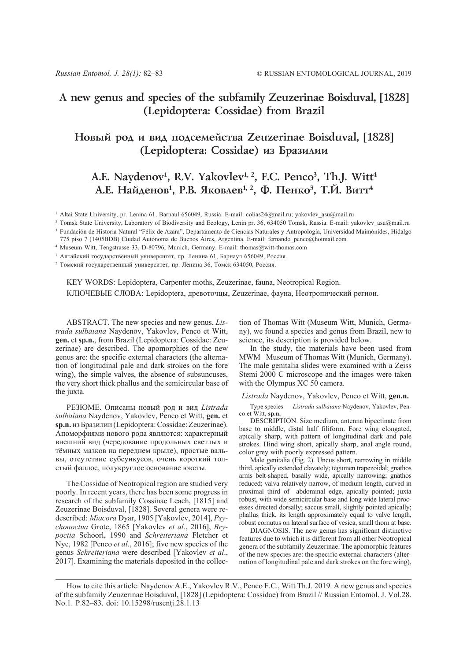# **A new genus and species of the subfamily Zeuzerinae Boisduval, [1828] (Lepidoptera: Cossidae) from Brazil**

## **Íîâûé ðîä è âèä ïîäñåìåéñòâà Zeuzerinae Boisduval, [1828] (Lepidoptera: Cossidae) из Бразилии**

# A.E. Naydenov<sup>1</sup>, R.V. Yakovlev<sup>1, 2</sup>, F.C. Penco<sup>3</sup>, Th.J. Witt<sup>4</sup> А.Е. Найденов<sup>1</sup>, Р.В. Яковлев<sup>1, 2</sup>, Ф. Пенко<sup>3</sup>, Т.Й. Витт<sup>4</sup>

<sup>1</sup> Altai State University, pr. Lenina 61, Barnaul 656049, Russia. E-mail: colias24@mail.ru; yakovlev\_asu@mail.ru

<sup>2</sup> Tomsk State University, Laboratory of Biodiversity and Ecology, Lenin pr. 36, 634050 Tomsk, Russia. E-mail: yakovlev\_asu@mail.ru

<sup>3</sup> Fundación de Historia Natural "Félix de Azara", Departamento de Ciencias Naturales y Antropología, Universidad Maimónides, Hidalgo

775 piso 7 (1405BDB) Ciudad Autónoma de Buenos Aires, Argentina. E-mail: fernando\_penco@hotmail.com

<sup>4</sup> Museum Witt, Tengstrasse 33, D-80796, Munich, Germany. E-mail: thomas@witt-thomas.com

<sup>1</sup> Алтайский государственный университет, пр. Ленина 61, Барнаул 656049, Россия.

<sup>2</sup> Томский государственный университет, пр. Ленина 36, Томск 634050, Россия.

KEY WORDS: Lepidoptera, Carpenter moths, Zeuzerinae, fauna, Neotropical Region. КЛЮЧЕВЫЕ СЛОВА: Lepidoptera, древоточцы, Zeuzerinae, фауна, Неотропический регион.

ABSTRACT. The new species and new genus, *Listrada sulbaiana* Naydenov, Yakovlev, Penco et Witt, **gen.** et **sp.n.**, from Brazil (Lepidoptera: Cossidae: Zeuzerinae) are described. The apomorphies of the new genus are: the specific external characters (the alternation of longitudinal pale and dark strokes on the fore wing), the simple valves, the absence of subsuncuses, the very short thick phallus and the semicircular base of the juxta.

РЕЗЮМЕ. Описаны новый род и вид *Listrada sulbaiana* Naydenov, Yakovlev, Penco et Witt, **gen.** et **sp.n.** из Бразилии (Lepidoptera: Cossidae: Zeuzerinae). Апоморфиями нового рода являются: характерный внешний вид (чередование продольных светлых и тёмных мазков на переднем крыле), простые вальвы, отсутствие субсункусов, очень короткий толстый фаллос, полукруглое основание юксты.

The Cossidae of Neotropical region are studied very poorly. In recent years, there has been some progress in research of the subfamily Cossinae Leach, [1815] and Zeuzerinae Boisduval, [1828]. Several genera were redescribed: *Miacora* Dyar, 1905 [Yakovlev, 2014], *Psychonoctua* Grote, 1865 [Yakovlev *et al*., 2016], *Brypoctia* Schoorl, 1990 and *Schreiteriana* Fletcher et Nye, 1982 [Penco *et al*., 2016]; five new species of the genus *Schreiteriana* were described [Yakovlev *et al*., 2017]. Examining the materials deposited in the collec-

tion of Thomas Witt (Museum Witt, Munich, Germany), we found a species and genus from Brazil, new to science, its description is provided below.

In the study, the materials have been used from MWM Museum of Thomas Witt (Munich, Germany). The male genitalia slides were examined with a Zeiss Stemi 2000 C microscope and the images were taken with the Olympus XC 50 camera.

#### *Listrada* Naydenov, Yakovlev, Penco et Witt, **gen.n.**

Type species — *Listrada sulbaiana* Naydenov, Yakovlev, Penco et Witt, **sp.n.**

DESCRIPTION. Size medium, antenna bipectinate from base to middle, distal half filiform. Fore wing elongated, apically sharp, with pattern of longitudinal dark and pale strokes. Hind wing short, apically sharp, anal angle round, color grey with poorly expressed pattern.

Male genitalia (Fig. 2). Uncus short, narrowing in middle third, apically extended clavately; tegumen trapezoidal; gnathos arms belt-shaped, basally wide, apically narrowing; gnathos reduced; valva relatively narrow, of medium length, curved in proximal third of abdominal edge, apically pointed; juxta robust, with wide semicircular base and long wide lateral processes directed dorsally; saccus small, slightly pointed apically; phallus thick, its length approximately equal to valve length, robust cornutus on lateral surface of vesica, small thorn at base.

DIAGNOSIS. The new genus has significant distinctive features due to which it is different from all other Neotropical genera of the subfamily Zeuzerinae. The apomorphic features of the new species are: the specific external characters (alternation of longitudinal pale and dark strokes on the fore wing),

How to cite this article: Naydenov A.E., Yakovlev R.V., Penco F.C., Witt Th.J. 2019. A new genus and species of the subfamily Zeuzerinae Boisduval, [1828] (Lepidoptera: Cossidae) from Brazil // Russian Entomol. J. Vol.28. No.1. P.82–83. doi: 10.15298/rusentj.28.1.13